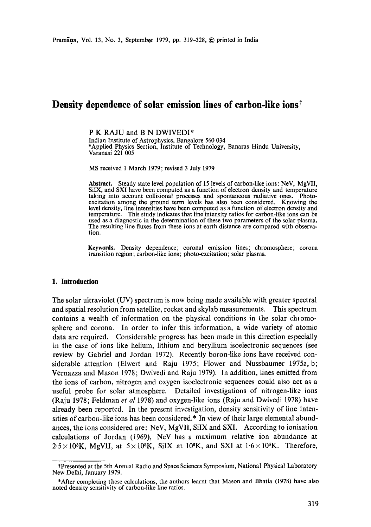# **Density dependence of solar emission lines of carbon-like ions**

P K RAJU and B N DWIVEDI\* Indian Institute of Astrophysics, Bangalore 560 034 \*Applied Physics Section, Institute of Technology, Banaras Hindu University, Varanasi 221 005

MS received 1 March 1979; revised 3 July 1979

**Abstract.** Steady state level population of 15 levels of carbon-like ions: NeV, MgVII, SilX, and SXI have been computed as a function of electron density and temperature taking into account collisional processes and spontaneous radiative ones. Photoexcitation among the ground term levels has also been considered. Knowing **the**  level density, line intensities have been computed as a function of electron density and temperature. This study indicates that line intensity ratios for carbon-like ions can be used as a diagnostic in the determination of these two parameters of the solar plasma. The resulting line fluxes from these ions at earth distance are compared with observation.

**Keywords.** Density dependence; coronal emission lines; chromosphere; corona transition region; carbon-like ions; photo-excitation; solar plasma.

#### **1. Introduction**

The solar ultraviolet (UV) spectrum is now being made available with greater spectral and spatial resolution from satellite, rocket and skylab measurements. This spectrum contains a wealth of information on the physical conditions in the solar chromosphere and corona. In order to infer this information, a wide variety of atomic data are required. Considerable progress has been made in this direction especially in the case of ions like helium, lithium and beryllium isoelectronic sequences (see review by Gabriel and Jordan 1972). Recently boron-like ions have received considerable attention (Elwert and Raju 1975; Flower and Nussbaumer 1975a, b; Vernazza and Mason 1978; Dwivedi and Raju 1979). In addition, lines emitted from the ions of carbon, nitrogen and oxygen isoelectronic sequences could also act as a useful probe for solar atmosphere. Detailed investigations of nitrogen-like ions (Raju 1978; Feldman *et al* 1978) and oxygen-like ions (Raju and Dwivedi 1978) have already been reported. In the present investigation, density sensitivity of line intensities of carbon-like ions has been considered.\* In view of their large elemental abundances, the ions considered are: NeV, MgVII, SilX and SXI. According to ionisation calculations of Jordan (1969), NeV has a maximum relative ion abundance at  $2.5 \times 10^{5}$ K, MgVII, at  $5 \times 10^{5}$ K, SiIX at 10<sup>6</sup>K, and SXI at  $1.6 \times 10^{6}$ K. Therefore,

lPresented at the 5th Annual Radio and Space Sciences Symposium, National Physical Laboratory New Delhi, January 1979.

<sup>\*</sup>After completing these calculations, the authors learnt that Mason and Bhatia (1978) have also noted density sensitivity of carbon-like line ratios.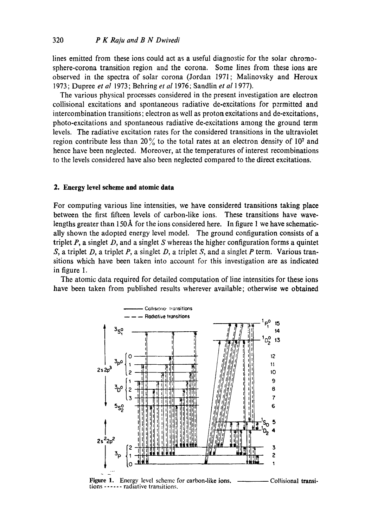lines emitted from these ions could act as a useful diagnostic for the solar chromosphere-corona transition region and the corona. Some lines from these ions are observed in the spectra of solar corona (Jordan 1971; Malinovsky and Heroux 1973; Dupree et al 1973; Behring et al 1976; Sandlin et al 1977).

The various physical processes considered in the present investigation are electron collisional excitations and spontaneous radiative de-excitations for permitted and intercombination transitions; electron as well as proton excitations and de-excitations, photo-excitations and spontaneous radiative de-excitations among the ground term levels. The radiative excitation rates for the considered transitions in the ultraviolet region contribute less than 20% to the total rates at an electron density of 10<sup>7</sup> and hence have been neglected. Moreover, at the temperatures of interest recombinations to the levels considered have also been neglected compared to the direct excitations.

#### 2. Energy level scheme and atomic data

For computing various line intensities, we have considered transitions taking place between the first fifteen levels of carbon-like ions. These transitions have wavelengths greater than  $150\text{\AA}$  for the ions considered here. In figure 1 we have schematically shown the adopted energy level model. The ground configuration consists of a triplet  $P$ , a singlet  $D$ , and a singlet  $S$  whereas the higher configuration forms a quintet S, a triplet D, a triplet P, a singlet D, a triplet S, and a singlet P term. Various transitions which have been taken into account for this investigation are as indicated in figure 1.

The atomic data required for detailed computation of line intensities for these ions have been taken from published results wherever available; otherwise we obtained



Figure 1. Energy level scheme for carbon-like ions. ----------— Collisional transitions ------ radiative transitions.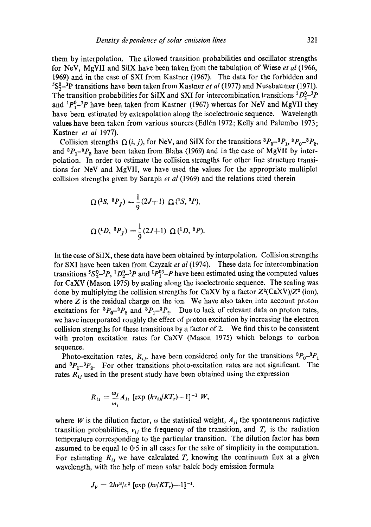them by interpolation. The allowed transition probabilities and oscillator strengths for NeV, MgVII and SilX have been taken from the tabulation of Wiese *et al* (1966, 1969) and in the case of SXI from Kastner (1967). The data for the forbidden and 5S°-3P transitions have been taken from Kastner *et al* (1977) and Nussbaumer (1971). The transition probabilities for SiIX and SXI for intercombination transitions  ${}^{1}D_{2}^{0-3}P$ and  ${}^{1}P_{1}^{0}$ <sup>-3</sup>P have been taken from Kastner (1967) whereas for NeV and MgVII they have been estimated by extrapolation along the isoelectronic sequence. Wavelength values have been taken from various sources (Edl6n 1972; Kelly and Palumbo 1973; Kastner *et al* 1977).

Collision strengths  $\Omega(i, j)$ , for NeV, and SiIX for the transitions  ${}^3P_0-{}^3P_1$ ,  ${}^3P_0-{}^3P_2$ , and  ${}^{3}P_{1}{}^{-3}P_{2}$  have been taken from Blaha (1969) and in the case of MgVII by interpolation. In order to estimate the collision strengths for other fine structure transitions for NeV and MgVII, we have used the values for the appropriate multiplet collision strengths given by Saraph *et al* (1969) and the relations cited therein

$$
\Omega(^{1}S, {}^{3}P_J) = \frac{1}{9} (2J+1) \Omega(^{1}S, {}^{3}P),
$$
  

$$
\Omega(^{1}D, {}^{3}P_J) = \frac{1}{9} (2J+1) \Omega(^{1}D, {}^{3}P).
$$

In the case of SilX, these data have been obtained by interpolation. Collision strengths for SXI have been taken from Czyzak *et al* (1974). These data for intercombination transitions  ${}^5S_2^0-{}^3P$ ,  ${}^1D_2^0-{}^3P$  and  ${}^1P_1^{03}-P$  have been estimated using the computed values for CaXV (Mason 1975) by scaling along the isoelectronic sequence. The scaling was done by multiplying the collision strengths for CaXV by a factor  $Z^2(CaXV)/Z^2$  (ion), where  $Z$  is the residual charge on the ion. We have also taken into account proton excitations for  ${}^{3}P_{0}-{}^{3}P_{2}$  and  ${}^{3}P_{1}-{}^{3}P_{2}$ . Due to lack of relevant data on proton rates, we have incorporated roughly the effect of proton excitation by increasing the electron collision strengths for these transitions by a factor of 2. We find this to be consistent with proton excitation rates for CaXV (Mason 1975) which belongs to carbon sequence.

Photo-excitation rates,  $R_{ij}$ , have been considered only for the transitions  ${}^{3}P_{0}{}^{-3}P_{1}$ and  ${}^{3}P_{1}{}^{-3}P_{2}$ . For other transitions photo-excitation rates are not significant. The rates  $R_{ij}$  used in the present study have been obtained using the expression

$$
R_{ij}=\frac{\omega_j}{\omega_i}A_{ji}\,\left[\exp\left(h\nu_{ij}/KT_r\right)-1\right]^{-1}\,W,
$$

where W is the dilution factor,  $\omega$  the statistical weight,  $A_{ji}$  the spontaneous radiative transition probabilities,  $v_{ij}$  the frequency of the transition, and  $T_r$  is the radiation temperature corresponding to the particular transition. The dilution factor has been assumed to be equal to 0.5 in all cases for the sake of simplicity in the computation. For estimating  $R_{ij}$  we have calculated  $T_r$  knowing the continuum flux at a given wavelength, with the help of mean solar balck body emission formula

$$
J_{\nu} = 2h\nu^3/c^2 \,[\exp{(h\nu/KT_r)}-1]^{-1}.
$$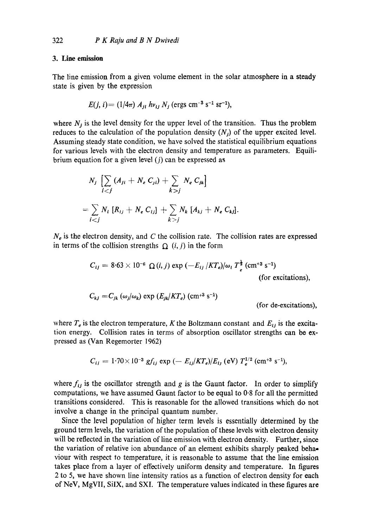#### **3. Line emission**

The line emission from a given volume element in the solar atmosphere in a steady state is given by the expression

$$
E(j, i) = (1/4\pi) A_{1i} h v_{1j} N_i \text{ (ergs cm}^{-3} \text{ s}^{-1} \text{ sr}^{-1}),
$$

where  $N_j$  is the level density for the upper level of the transition. Thus the problem reduces to the calculation of the population density  $(N<sub>i</sub>)$  of the upper excited level. Assuming steady state condition, we have solved the statistical equilibrium equations for various levels with the electron density and temperature as parameters. Equilibrium equation for a given level  $(j)$  can be expressed as

$$
N_j \left[ \sum_{i < j} (A_{ji} + N_e C_{ji}) + \sum_{k > j} N_e C_{jk} \right]
$$
\n
$$
= \sum_{i < j} N_i \left[ R_{ij} + N_e C_{ij} \right] + \sum_{k > j} N_k \left[ A_{kj} + N_e C_{kj} \right].
$$

 $N_e$  is the electron density, and C the collision rate. The collision rates are expressed in terms of the collision strengths  $\Omega$  (i, j) in the form

$$
C_{ij} = 8.63 \times 10^{-6} \Omega(i, j) \exp(-E_{ij} / KT_e)/\omega_i T_e^{\frac{1}{2}} \text{ (cm}^{+3} \text{ s}^{-1})
$$
 (for excitations),

$$
C_{kj} = C_{jk} \left( \omega_j / \omega_k \right) \exp \left( E_{jk} / K T_e \right) \left( \text{cm}^{+3} \text{ s}^{-1} \right)
$$

(for de-excitations),

where  $T_e$  is the electron temperature, K the Boltzmann constant and  $E_{ij}$  is the excitation energy. Collision rates in terms of absorption oscillator strengths can be expressed as (Van Regemorter 1962)

$$
C_{ij} = 1.70 \times 10^{-3} \text{ g} f_{ij} \text{ exp } (-E_{ij}/KT_e)/E_{ij} \text{ (eV)} T_e^{1/2} \text{ (cm}^{+3} \text{ s}^{-1}),
$$

where  $f_{ij}$  is the oscillator strength and g is the Gaunt factor. In order to simplify computations, we have assumed Gaunt factor to be equal to 0.8 for all the permitted transitions considered. This is reasonable for the allowed transitions which do not involve a change in the principal quantum number.

Since the level population of higher term levels is essentially determined by the ground term levels, the variation of the population of these levels with electron density will be reflected in the variation of line emission with electron density. Further, since the variation of relative ion abundance of an element exhibits sharply peaked behao viour with respect to temperature, it is reasonable to assume that the line emission takes place from a layer of effectively uniform density and temperature. In figures 2 to 5, we have shown line intensity ratios as a function of electron density for each of NeV, MgVII, SilX, and SXI. The temperature values indicated in these figures are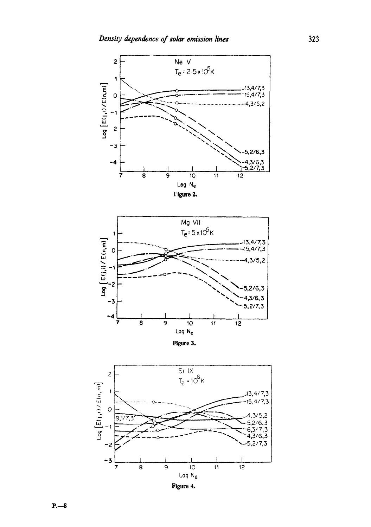



Figure 3.



Figure 4.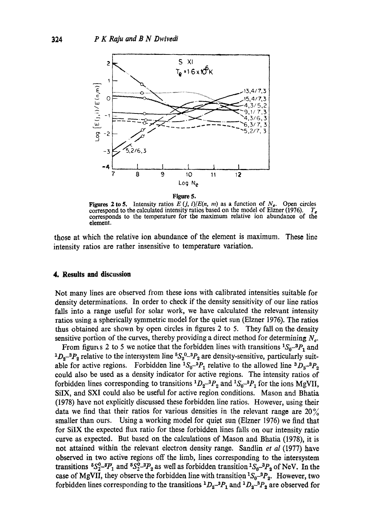



**Figures 2 to 5.** Intensity ratios  $E(j, i)/E(n, m)$  as a function of  $N_e$ . Open circles correspond to the calculated intensity ratios based on the model of Elzner (1976). corresponds to the temperature for the maximum relative ion abundance of the element.

those at which the relative ion abundance of the element is maximum. These line intensity ratios are rather insensitive to temperature variation.

#### **4. Results and discussion**

Not many lines are observed from these ions with calibrated intensities suitable for density determinations. In order to check if the density sensitivity of our line ratios falls into a range useful for solar work, we have calculated the relevant intensity ratios using a spherically symmetric model for the quiet sun (Elzner 1976). The ratios thus obtained are shown by open circles in figures 2 to 5. They fall on the density sensitive portion of the curves, thereby providing a direct method for determining  $N_e$ .

From figure s 2 to 5 we notice that the forbidden lines with transitions  ${}^{1}S_{0}{}^{-3}P_{1}$  and  ${}^{1}D_{2}$ <sup>-3</sup> $P_{2}$  relative to the intersystem line  ${}^{5}S_{2}{}^{0}$ -3 $P_{2}$  are density-sensitive, particularly suitable for active regions. Forbidden line  ${}^{1}S_{0}{}^{-3}P_{1}$  relative to the allowed line  ${}^{3}D_{3}{}^{-3}P_{2}$ could also be used as a density indicator for active regions. The intensity ratios of forbidden lines corresponding to transitions  ${}^{1}D_{2}{}^{3}P_{2}$  and  ${}^{1}S_{0}{}^{-3}P_{1}$  for the ions MgVII, SiIX, and SXI could also be useful for active region conditions. Mason and Bhatia (1978) have not explicitly discussed these forbidden line ratios. However, using their data we find that their ratios for various densities in the relevant range are  $20\%$ smaller than ours. Using a working model for quiet sun (Elzner 1976) we find that for SiIX the expected flux ratio for these forbidden lines falls on our intensity ratio curve as expected. But based on the calculations of Mason and Bhatia (1978), it is not attained within the relevant electron density range. Sandlin *et al* (1977) have observed in two active regions off the limb, lines corresponding to the intersystem transitions  ${}^5S_2^0$ - ${}^3P_1$  and  ${}^5S_2^0$ - ${}^3P_2$  as well as forbidden transition  ${}^1S_0$ - ${}^3P_2$  of NeV. In the case of MgVII, they observe the forbidden line with transition  ${}^{1}S_{0} - {}^{3}P_{2}$ . However, two forbidden lines corresponding to the transitions  ${}^{1}D_{2}{}^{-3}P_{1}$  and  ${}^{1}D_{2}{}^{-3}P_{2}$  are observed for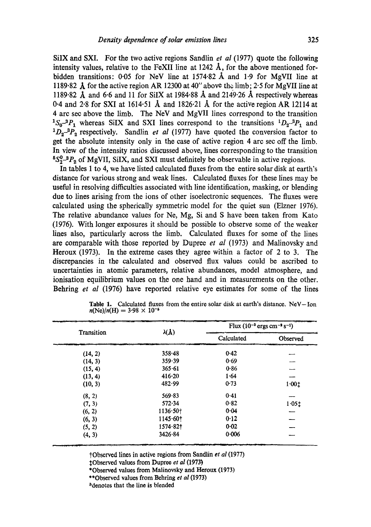SilX and SXI. For the two active regions Sandlin *et aI* (1977) quote the following intensity values, relative to the FeXII line at  $1242 \text{ Å}$ , for the above mentioned forbidden transitions: 0.05 for NeV line at 1574.82 Å and 1.9 for MgVII line at 1189.82 A for the active region AR 12300 at 40" above the limb; 2.5 for MgVII line at 1189.82  $\AA$  and 6.6 and 11 for SiIX at 1984.88  $\AA$  and 2149.26  $\AA$  respectively whereas 0.4 and 2.8 for SXI at  $1614.51$  Å and  $1826.21$  Å for the active region AR 12114 at 4 arc see above the limb. The NeV and MgVII lines correspond to the transition <sup>1</sup>S<sub>0</sub><sup>-3</sup> $P_1$  whereas SiIX and SXI lines correspond to the transitions <sup>1</sup> $D_2$ <sup>-3</sup> $P_1$  and  $^{1}D_{2}^{3}P_{2}^{2}$  respectively. Sandlin *et al* (1977) have quoted the conversion factor to get the absolute intensity only in the case of active region 4 arc see off the limb. In view of the intensity ratios discussed above, lines corresponding to the transition  $5S_2^0$ <sup>-3</sup> $P_2$  of MgVII, SiIX, and SXI must definitely be observable in active regions.

In tables 1 to 4, we have listed calculated fluxes from the entire solar disk at earth's distance for various strong and weak lines. Calculated fluxes for these lines may be useful in resolving difficulties associated with line identification, masking, or blending due to lines arising from the ions of other isoelectronic sequences. The fluxes were calculated using the spherically symmetric model for the quiet sun (Elzner 1976). The relative abundance values for Ne, Mg, Si and S have been taken from Kate (1976). With longer exposures it should be possible to observe some of the weaker lines also, particularly across the limb. Calculated fluxes for some of the lines are comparable with those reported by Dupree *et al* (1973) and Malinovsky and Heroux (1973). In the extreme cases they agree within a factor of 2 to 3. The discrepancies in the calculated and observed flux values could be ascribed to uncertainties in atomic parameters, relative abundances, model atmosphere, and ionisation equilibrium values on the one hand and in measurements on the other. Behring *et al* (1976) have reported relative eye estimates for some of the lines

| Transition |                        | يجبس<br>Flux $(10^{-3} \text{ ergs cm}^{-3} \text{ s}^{-1})$ |          |
|------------|------------------------|--------------------------------------------------------------|----------|
|            | $\lambda(\mathbf{A})$  | Calculated                                                   | Observed |
| (14, 2)    | $358 - 48$             | 0.42                                                         |          |
| (14, 3)    | 359.39                 | 0.69                                                         |          |
| (15, 4)    | 365.61                 | 0.86                                                         |          |
| (13, 4)    | $416 - 20$             | 1.64                                                         |          |
| (10, 3)    | 482.99                 | 0.73                                                         | 1.001    |
| (8, 2)     | 569.83                 | 0.41                                                         |          |
| (7, 3)     | 572.34                 | 0.82                                                         | 1.051    |
| (6, 2)     | 1136.50 <sub>†</sub>   | 0.04                                                         |          |
| (6, 3)     | $1145.60$ <sup>+</sup> | 0.12                                                         |          |
| (5, 2)     | $1574.82$ <sup>+</sup> | 0.02                                                         |          |
| (4, 3)     | 3426.84                | 0.006                                                        |          |

**Table** 1. Calculated fluxes from the entire solar disk at earth's distance. NeV--Ion  $n(Ne)/n(H) = 3.98 \times 10^{-5}$ 

?Observed lines in active regions from Sandlin *et al* (1977)

~:Observed values from Dupro~ *et al* (1973)

\*Observed values from Malinovsky and Heroux (1973)

\*\*Observed values from Behring *et al* (1973)

bdenotes that the line is blended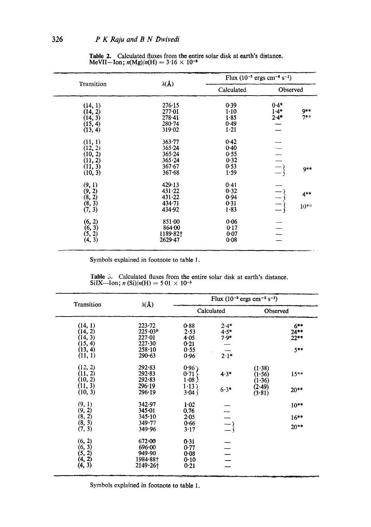| Transition<br>(14, 1)<br>(14, 2) | $\lambda(\mathbf{A})$    | Flux $(10^{-3} \text{ ergs cm}^{-8} \text{ s}^{-1})$ |                  |                   |
|----------------------------------|--------------------------|------------------------------------------------------|------------------|-------------------|
|                                  |                          | Calculated                                           | Observed         |                   |
|                                  | 276.15<br>$277 - 01$     | 0.39<br>$1 - 10$                                     | $0.4*$<br>$1.4*$ | 9**               |
| $(14, 3)$<br>$(15, 4)$           | $278 - 41$<br>$280 - 74$ | 1.85<br>0.49                                         | $2.4*$           | $7**$             |
| (13, 4)                          | 319.02                   | $1 - 21$                                             |                  |                   |
| (11, 1)<br>(12, 2)               | 363.77<br>365.24         | 0.42<br>0.40                                         |                  |                   |
| (10, 2)<br>(11, 2)               | 365.24<br>$365 - 24$     | 0.55<br>0.32                                         |                  |                   |
| (11, 3)<br>(10, 3)               | 367.67<br>367.68         | 0.53<br>1.59                                         | $\frac{1}{1}$    | $9**$             |
| (9, 1)<br>(9, 2)                 | 429.13<br>431.22         | 0.41<br>0.32                                         |                  |                   |
| $(8, 2)$<br>$(8, 3)$<br>$(7, 3)$ | 431.22<br>434.71         | 0.94<br>0.31                                         | $\frac{1}{1}$    | $4***$<br>$10***$ |
|                                  | 434.92                   | 1.83                                                 | $\equiv$         |                   |
| $(6, 2)$<br>$(6, 3)$<br>$(5, 2)$ | 851.00<br>864.00         | 0.06<br>0:17                                         |                  |                   |
| (4, 3)                           | $1189.82$ †<br>2629.47   | 0.07<br>0.08                                         |                  |                   |

Table 2. Calculated fluxes from the entire solar disk at earth's distance.<br>MeVII—Ion;  $n(Mg)/n(H) = 3.16 \times 10^{-6}$ 

Symbols explained in footnote to table 1.

| Transition                                          | $\lambda(\lambda)$                                               | Flux $(10^{-3} \text{ ergs cm}^{-2} \text{ s}^{-1})$ |                            |                            |                                       |
|-----------------------------------------------------|------------------------------------------------------------------|------------------------------------------------------|----------------------------|----------------------------|---------------------------------------|
|                                                     |                                                                  |                                                      | Calculated                 | Observed                   |                                       |
| (14, 1)<br>(14, 2)<br>(14, 3)<br>(15, 4)<br>(13, 4) | $223 - 72$<br>$225 \cdot 03^b$<br>227.01<br>227.30<br>$258 - 10$ | 0.88<br>2.53<br>4.05<br>0.21<br>0.55                 | $2.4*$<br>$4.5*$<br>$7.9*$ |                            | $6***$<br>$24***$<br>$22**$<br>$5***$ |
| (11, 1)                                             | 290.63                                                           | 0.96                                                 | $2.1*$                     |                            |                                       |
| (12, 2)<br>(11, 2)<br>(10, 2)                       | 292.83<br>292.83<br>292.83                                       | 0.96<br>0.71<br>1.08)                                | $4.3*$                     | (1.38)<br>(1.56)<br>(1.36) | $15***$                               |
| (11, 3)<br>(10, 3)                                  | 296.19<br>296.19                                                 | 1.13<br>3.04                                         | $6.3*$                     | (2.49)<br>(3.81)           | $20**$                                |
| (9, 1)                                              | 342.97<br>345.01                                                 | $1 - 02$<br>0.76                                     |                            |                            | $10**$                                |
| $(9, 2)$<br>$(8, 2)$<br>$(8, 3)$                    | 345.10                                                           | 2.05                                                 |                            |                            | $16***$                               |
| (7, 3)                                              | 349.77<br>349.96                                                 | 0.66<br>3.17                                         | $\equiv$ }                 |                            | $20**$                                |
| $(6, 2)$<br>$(6, 3)$<br>$(5, 2)$<br>$(4, 2)$        | $672 - 00$<br>696.00<br>949.90                                   | 0.31<br>0.77<br>0.08                                 |                            |                            |                                       |
| (4, 3)                                              | 1984-88†<br>2149-26†                                             | 0.10<br>0.21                                         |                            |                            |                                       |

Table 3. Calculated fluxes from the entire solar disk at earth's distance.<br>SiIX—Ion; *n* (Si)/*n*(H) = 5.01 × 10<sup>-5</sup>

Symbols explained in footnote to table 1.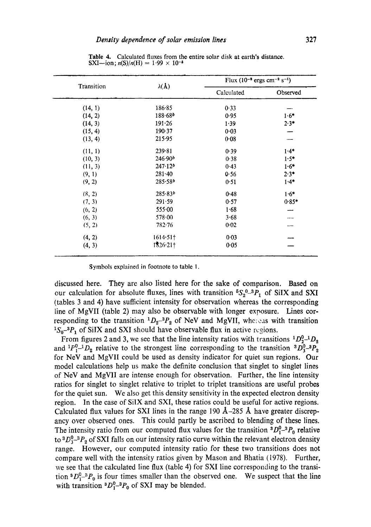| Transition | $\lambda(\Lambda)$  | Flux (10 <sup>-3</sup> ergs cm <sup>-2</sup> s <sup>-1</sup> ) |          |
|------------|---------------------|----------------------------------------------------------------|----------|
|            |                     | Calculated                                                     | Observed |
| (14, 1)    | 186.85              | 0.33                                                           |          |
| (14, 2)    | 188.68 <sup>b</sup> | 0.95                                                           | $1.6*$   |
| (14, 3)    | 191.26              | 1.39                                                           | $2.3*$   |
| (15, 4)    | 190.37              | 0.03                                                           |          |
| (13, 4)    | 215.95              | 0.08                                                           |          |
| (11, 1)    | 239.81              | 0.39                                                           | $1.4*$   |
| (10, 3)    | 246.90 <sup>b</sup> | 0.38                                                           | $1.5*$   |
| (11, 3)    | 247.12 <sup>b</sup> | 0.43                                                           | $1.6*$   |
| (9, 1)     | $281 - 40$          | 0.56                                                           | $2.3*$   |
| (9, 2)     | 285.58 <sup>b</sup> | 0.51                                                           | $1.4*$   |
| (8, 2)     | $285.83^{b}$        | 0.48                                                           | $1.6*$   |
| (7, 3)     | 291.59              | 0.57                                                           | $0.85*$  |
| (6, 2)     | 555.00              | 1.68                                                           |          |
| (6, 3)     | 578.00              | 3.68                                                           |          |
| (5, 2)     | $782 - 76$          | 0.02                                                           |          |
| (4, 2)     | $1614.51\dagger$    | 0.03                                                           |          |
| (4, 3)     | 1326.21             | 0.05                                                           |          |

**Table** 4. Calculated fluxes from the entire solar disk at earth's distance. SXI--ion;  $n(S)/n(H) = 1.99 \times 10^{-5}$ 

Symbols explained in footnote to table 1.

discussed here. They are also listed here for the sake of comparison. Based on our calculation for absolute fluxes, lines with transition  ${}^5S_2{}^{0}{}_{-}{}^3P_1$  of SiIX and SXI (tables 3 and 4) have sufficient intensity for observation whereas the corresponding line of MgVII (table 2) may also be observable with longer exposure. Lines corresponding to the transition  ${}^{1}D_{2}{}^{-3}P_{2}$  of NeV and MgVII, whereas with transition  ${}^{1}S_{0}$ <sup>-3</sup> $P_{1}$  of SiIX and SXI should have observable flux in active regions.

From figures 2 and 3, we see that the line intensity ratios with transitions  ${}^{1}D_{2}^{0}$ - ${}^{1}D_{2}$ and  ${}^{1}P_{1}^{0}$ - ${}^{1}D_{2}$  relative to the strongest line corresponding to the transition  ${}^{3}D_{3}^{0}$ - ${}^{3}P_{2}$ for NeV and MgVII could be used as density indicator for quiet sun regions. Our model calculations help us make the definite conclusion that singlet to singlet lines of NeV and MgVII are intense enough for observation. Further, the line intensity ratios for singlet to singlet relative to triplet to triplet transitions are useful probes for the quiet sun. We also get this density sensitivity in the expected electron density region. In the case of SiIX and SXI, these ratios could be useful for active regions. Calculated flux values for SXI lines in the range 190  $\AA$ -285 Å have greater discrepancy over observed ones. This could partly be ascribed to blending of these lines. The intensity ratio from our computed flux values for the transition  ${}^3D_1^0-{}^3P_0$  relative to  ${}^3D_3^0-{}^3P_2$  of SXI falls on our intensity ratio curve within the relevant electron density range. However, our computed intensity ratio for these two transitions does not compare well with the intensity ratios given by Mason and Bhatia (1978). Further, we see that the calculated line flux (table 4) for SXI line corresponding to the transition  ${}^3D_1^0-{}^3P_0$  is four times smaller than the observed one. We suspect that the line with transition  ${}^3D_1^0-{}^3P_0$  of SXI may be blended.